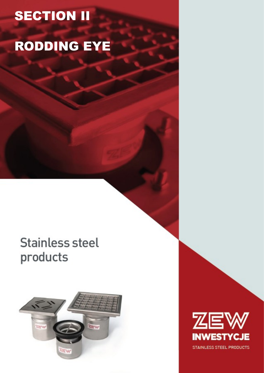# **SECTION II**

# RODDING EYE

## **Stainless steel** products



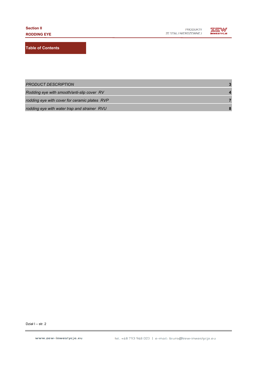

**Table of Contents**

| <b>PRODUCT DESCRIPTION</b>                    |  |
|-----------------------------------------------|--|
| Rodding eye with smooth/anti-slip cover RV    |  |
| rodding eye with cover for ceramic plates RVP |  |
| rodding eye with water trap and strainer RVU  |  |

Dział I – str. 2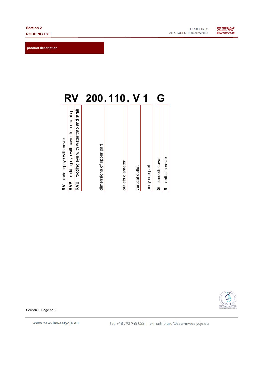**product description**



| R'                                                                                                                                   | 200                      | $\overline{\mathbf{0}}$ |                 |               | G                 |                      |
|--------------------------------------------------------------------------------------------------------------------------------------|--------------------------|-------------------------|-----------------|---------------|-------------------|----------------------|
| rodding eye with cover for ceramic pl<br>rodding eye with water trap and strail<br>rodding eye with cover<br>RVU<br><b>RVP</b><br>RV | dimensions of upper part | outlets diameter        | vertical outlet | body one part | smooth cover<br>O | anti-slip cover<br>œ |



Section II. Page nr. 2

www.zew-inwestycje.eu

tel. +48 793 948 023 | e-mail: biuro@zew-inwestycje.eu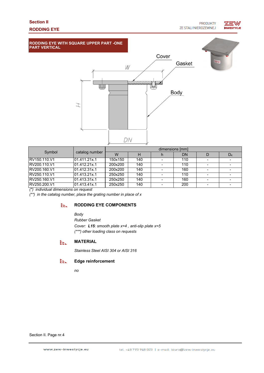## **INWESTYCJE**





| Symbol        |                | dimensions [mm] |     |  |     |  |         |  |
|---------------|----------------|-----------------|-----|--|-----|--|---------|--|
|               | catalog number | W               |     |  | DN  |  | $D_{K}$ |  |
| IRV150.110.V1 | 01.411.21x.1   | 150x150         | 140 |  | 110 |  |         |  |
| RV200.110.V1  | 01.412.21x.1   | 200x200         | 140 |  | 110 |  |         |  |
| RV200.160.V1  | 01.412.31x.1   | 200x200         | 140 |  | 160 |  |         |  |
| RV250.110.V1  | 01.413.21x.1   | 250x250         | 140 |  | 110 |  |         |  |
| RV250.160.V1  | 01.413.31x.1   | 250x250         | 140 |  | 160 |  |         |  |
| RV250.200.V1  | 01.413.41x.1   | 250x250         | 140 |  | 200 |  |         |  |

*(\*) individual dimensions on request*

*(\*\*) in the catalog number, place the grating number in place of x*

#### **RODDING EYE COMPONENTS** EEL.

*Body*

*Rubber Gasket (\*\*\*) other loading class on requests Cover: L15: smooth plate x=4 , anti-slip plate x=5*

#### **MATERIAL** EEL.

*Stainless Steel AISI 304 or AISI 316*

#### EEL. **Edge reinforcement**

*no*

Section II. Page nr.4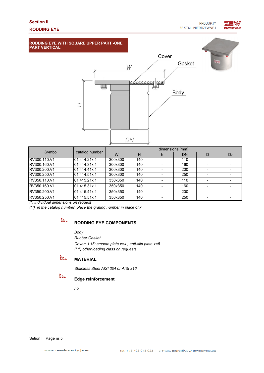## **NWESTYCJE**





| Symbol                                 |                | dimensions [mm] |     |   |     |   |         |  |
|----------------------------------------|----------------|-----------------|-----|---|-----|---|---------|--|
|                                        | catalog number | W               | н   | n | DN  | D | $D_{K}$ |  |
| RV300.110.V1                           | 01.414.21x.1   | 300x300         | 140 |   | 110 |   |         |  |
| RV300.160.V1                           | 01.414.31x.1   | 300x300         | 140 |   | 160 |   |         |  |
| RV300.200.V1                           | 01.414.41x.1   | 300x300         | 140 |   | 200 |   |         |  |
| RV300.250.V1                           | 01.414.51x.1   | 300x300         | 140 |   | 250 |   |         |  |
| RV350.110.V1                           | 01.415.21x.1   | 350x350         | 140 |   | 110 |   |         |  |
| RV350.160.V1                           | 01.415.31x.1   | 350x350         | 140 |   | 160 |   |         |  |
| RV350.200.V1                           | 01.415.41x.1   | 350x350         | 140 |   | 200 |   |         |  |
| RV350.250.V1                           | 01.415.51x.1   | 350x350         | 140 |   | 250 |   |         |  |
| $(*)$ individual dimensions on request |                |                 |     |   |     |   |         |  |

*(\*) individual dimensions on request*

*(\*\*) in the catalog number, place the grating number in place of x*

## EEL.

### **RODDING EYE COMPONENTS**

*Body*

*Rubber Gasket Cover: L15: smooth plate x=4 , anti-slip plate x=5 (\*\*\*) other loading class on requests*

#### EE. **MATERIAL**

*Stainless Steel AISI 304 or AISI 316*

EE.

#### **Edge reinforcement**

*no*

Setion II. Page nr.5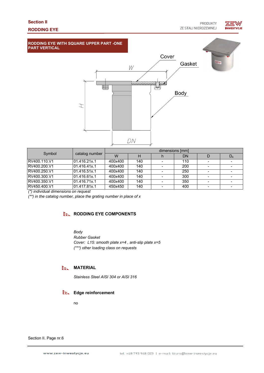

#### **RODDING EYE WITH SQUARE UPPER PART -ONE PART VERTICAL**



| Symbol                                 |                | dimensions [mm] |     |  |     |  |         |  |
|----------------------------------------|----------------|-----------------|-----|--|-----|--|---------|--|
|                                        | catalog number | W               |     |  | DN  |  | $D_{K}$ |  |
| RV400.110.V1                           | 01.416.21x.1   | 400x400         | 140 |  | 110 |  |         |  |
| RV400.200.V1                           | 01.416.41x.1   | 400x400         | 140 |  | 200 |  |         |  |
| RV400.250.V1                           | 01.416.51x.1   | 400x400         | 140 |  | 250 |  |         |  |
| RV400.300.V1                           | 01.416.61x.1   | 400x400         | 140 |  | 300 |  |         |  |
| RV400.350.V1                           | 01.416.71x.1   | 400x400         | 140 |  | 350 |  |         |  |
| RV450.400.V1                           | 01.417.81x.1   | 450x450         | 140 |  | 400 |  |         |  |
| $(*)$ individual dimensions on request |                |                 |     |  |     |  |         |  |

*(\*) individual dimensions on request*

*(\*\*) in the catalog number, place the grating number in place of x*

### **RODDING EYE COMPONENTS**

*Body*

*Rubber Gasket*

*Cover: L15: smooth plate x=4 , anti-slip plate x=5 (\*\*\*) other loading class on requests*

#### EEL. **MATERIAL**

*Stainless Steel AISI 304 or AISI 316*

#### **Edge reinforcement**

no

Section II. Page nr.6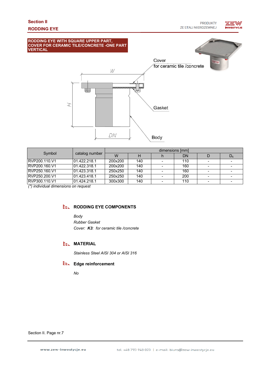

| Symbol        | catalog number | dimensions [mm] |     |  |     |  |         |
|---------------|----------------|-----------------|-----|--|-----|--|---------|
|               |                | W               |     |  | DN  |  | $D_{K}$ |
| RVP200.110.V1 | 101.422.218.1  | 200x200         | 140 |  | 110 |  |         |
| RVP200.160.V1 | 101.422.318.1  | 200x200         | 140 |  | 160 |  |         |
| RVP250.160.V1 | 01.423.318.1   | 250x250         | 140 |  | 160 |  |         |
| RVP250.200.V1 | 01.423.418.1   | 250x250         | 140 |  | 200 |  |         |
| RVP300.110.V1 | 101.424.218.1  | 300x300         | 140 |  | 110 |  |         |

**Body** 

*(\*) individual dimensions on request*

### **EEL RODDING EYE COMPONENTS**

*Body Rubber Gasket Cover: K3: for ceramic tile /concrete*

DN

#### **ELL MATERIAL**

*Stainless Steel AISI 304 or AISI 316*

### **Edge reinforcement**

*No*

Section II. Page nr.7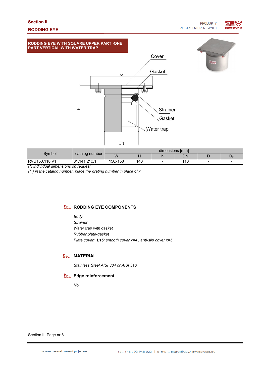**PRODUKTY ZE STALI NIERDZEWNEJ** 

ZEW



**RODDING EYE WITH SQUARE UPPER PART -ONE PART VERTICAL WITH WATER TRAP**



| Svmbol        |                  | dimensions [mm] |     |  |     |   |  |
|---------------|------------------|-----------------|-----|--|-----|---|--|
|               | catalog number   | W               |     |  | DN  |   |  |
| RVU150.110.V1 | .141.21x.1<br>01 | 150x150         | 140 |  | 110 | - |  |

*(\*) individual dimensions on request*

*(\*\*) in the catalog number, place the grating number in place of x*

#### **EEL RODDING EYE COMPONENTS**

*Body Strainer Water trap with gasket Rubber plate-gasket Plate cover: L15: smooth cover x=4 , anti-slip cover x=5*

## **EEL MATERIAL**

*Stainless Steel AISI 304 or AISI 316*

#### **Edge reinforcement**

*No*

Section II. Page nr.8